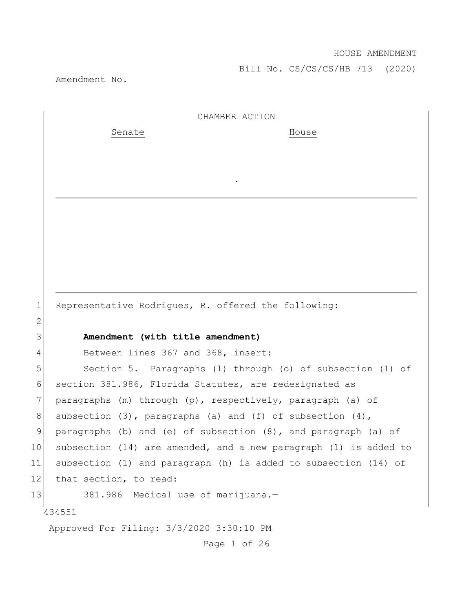Amendment No.

434551 Approved For Filing: 3/3/2020 3:30:10 PM Page 1 of 26 CHAMBER ACTION Senate House . 1 Representative Rodrigues, R. offered the following: 2 3 **Amendment (with title amendment)** 4 Between lines 367 and 368, insert: 5 Section 5. Paragraphs (l) through (o) of subsection (1) of 6 section 381.986, Florida Statutes, are redesignated as 7 paragraphs (m) through (p), respectively, paragraph (a) of 8 subsection  $(3)$ , paragraphs  $(a)$  and  $(f)$  of subsection  $(4)$ , 9 paragraphs (b) and (e) of subsection (8), and paragraph (a) of 10 subsection (14) are amended, and a new paragraph (l) is added to 11 subsection (1) and paragraph (h) is added to subsection (14) of 12 that section, to read: 13 381.986 Medical use of marijuana.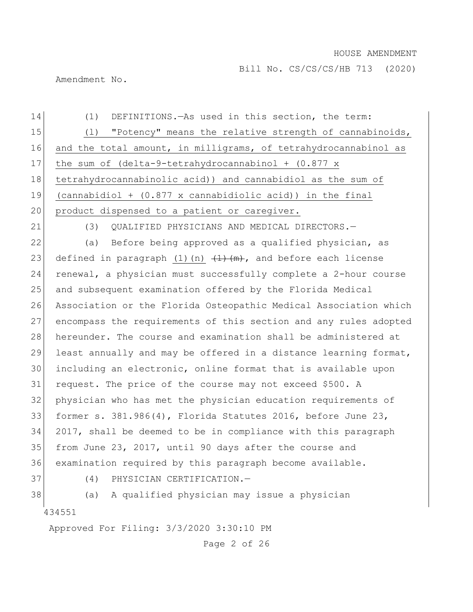Bill No. CS/CS/CS/HB 713 (2020)

Amendment No.

| 14 | (1)<br>DEFINITIONS. - As used in this section, the term:                   |
|----|----------------------------------------------------------------------------|
| 15 | "Potency" means the relative strength of cannabinoids,<br>(1)              |
| 16 | and the total amount, in milligrams, of tetrahydrocannabinol as            |
| 17 | the sum of $(delta-9-tetrahydrocannabinol + (0.877 x))$                    |
| 18 | tetrahydrocannabinolic acid)) and cannabidiol as the sum of                |
| 19 | $(cannabidiol + (0.877 x canabidiolic acid))$ in the final                 |
| 20 | product dispensed to a patient or caregiver.                               |
| 21 | QUALIFIED PHYSICIANS AND MEDICAL DIRECTORS.-<br>(3)                        |
| 22 | (a) Before being approved as a qualified physician, as                     |
| 23 | defined in paragraph $(1)$ $(n)$ $(\frac{1}{n})$ , and before each license |
| 24 | renewal, a physician must successfully complete a 2-hour course            |
| 25 | and subsequent examination offered by the Florida Medical                  |
| 26 | Association or the Florida Osteopathic Medical Association which           |
| 27 | encompass the requirements of this section and any rules adopted           |
| 28 | hereunder. The course and examination shall be administered at             |
| 29 | least annually and may be offered in a distance learning format,           |
| 30 | including an electronic, online format that is available upon              |
| 31 | request. The price of the course may not exceed \$500. A                   |
| 32 | physician who has met the physician education requirements of              |
| 33 | former s. $381.986(4)$ , Florida Statutes 2016, before June 23,            |
| 34 | 2017, shall be deemed to be in compliance with this paragraph              |
| 35 | from June 23, 2017, until 90 days after the course and                     |
| 36 | examination required by this paragraph become available.                   |
| 37 | (4)<br>PHYSICIAN CERTIFICATION.-                                           |
| 38 | A qualified physician may issue a physician<br>(a)                         |
|    | 434551                                                                     |
|    | Approved For Filing: 3/3/2020 3:30:10 PM                                   |
|    | Page 2 of 26                                                               |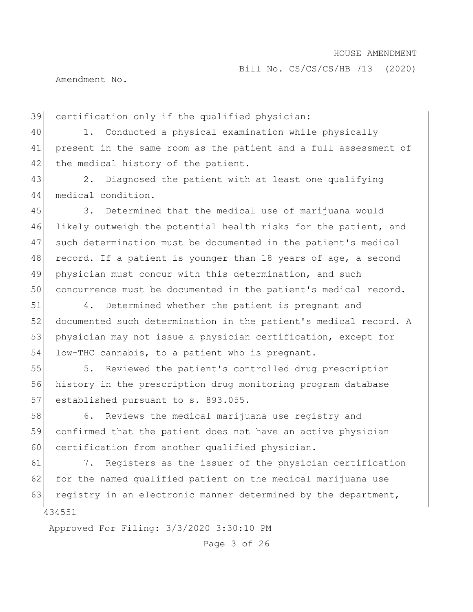Amendment No.

39 certification only if the qualified physician:

40 1. Conducted a physical examination while physically 41 present in the same room as the patient and a full assessment of 42 the medical history of the patient.

43 2. Diagnosed the patient with at least one qualifying 44 medical condition.

45 3. Determined that the medical use of marijuana would 46 likely outweigh the potential health risks for the patient, and 47 such determination must be documented in the patient's medical 48 record. If a patient is younger than 18 years of age, a second 49 physician must concur with this determination, and such 50 concurrence must be documented in the patient's medical record.

51 4. Determined whether the patient is pregnant and 52 documented such determination in the patient's medical record. A 53 physician may not issue a physician certification, except for 54 low-THC cannabis, to a patient who is pregnant.

55 5. Reviewed the patient's controlled drug prescription 56 history in the prescription drug monitoring program database 57 established pursuant to s. 893.055.

58 6. Reviews the medical marijuana use registry and 59 confirmed that the patient does not have an active physician 60 certification from another qualified physician.

434551 61 7. Registers as the issuer of the physician certification 62 for the named qualified patient on the medical marijuana use 63 registry in an electronic manner determined by the department,

Approved For Filing: 3/3/2020 3:30:10 PM

Page 3 of 26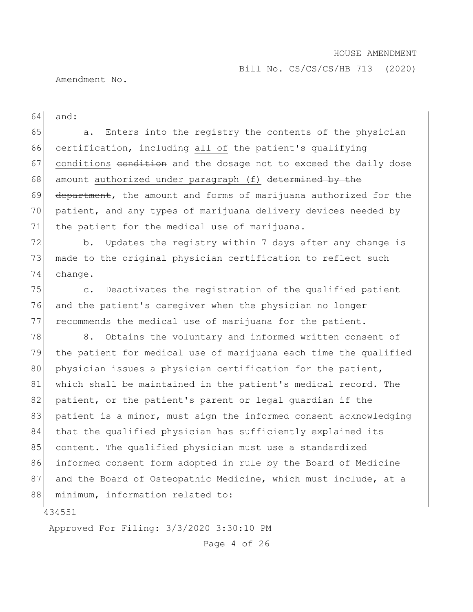Bill No. CS/CS/CS/HB 713 (2020)

Amendment No.

64 and:

65 a. Enters into the registry the contents of the physician 66 certification, including all of the patient's qualifying 67 conditions condition and the dosage not to exceed the daily dose 68 amount authorized under paragraph (f) determined by the 69 department, the amount and forms of marijuana authorized for the 70 patient, and any types of marijuana delivery devices needed by 71 the patient for the medical use of marijuana.

72 b. Updates the registry within 7 days after any change is 73 made to the original physician certification to reflect such 74 change.

75 c. Deactivates the registration of the qualified patient 76 and the patient's caregiver when the physician no longer 77 recommends the medical use of marijuana for the patient.

78 8. Obtains the voluntary and informed written consent of 79 the patient for medical use of marijuana each time the qualified 80 physician issues a physician certification for the patient, 81 which shall be maintained in the patient's medical record. The 82 patient, or the patient's parent or legal quardian if the 83 patient is a minor, must sign the informed consent acknowledging 84 that the qualified physician has sufficiently explained its 85 content. The qualified physician must use a standardized 86 informed consent form adopted in rule by the Board of Medicine 87 and the Board of Osteopathic Medicine, which must include, at a 88 minimum, information related to:

434551

Approved For Filing: 3/3/2020 3:30:10 PM

Page 4 of 26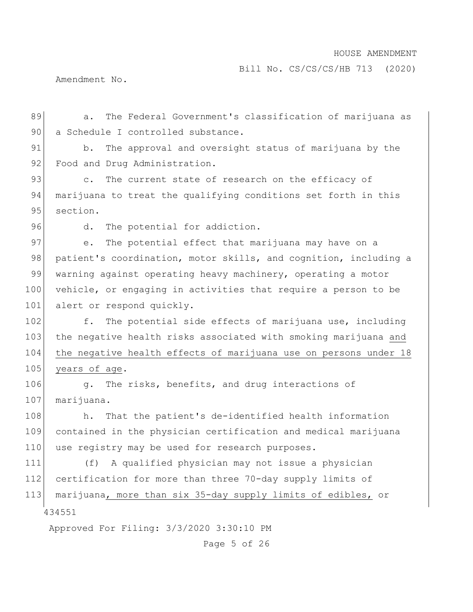Bill No. CS/CS/CS/HB 713 (2020)

Amendment No.

89 a. The Federal Government's classification of marijuana as 90 a Schedule I controlled substance.

91 b. The approval and oversight status of marijuana by the 92 Food and Drug Administration.

93 c. The current state of research on the efficacy of 94 marijuana to treat the qualifying conditions set forth in this 95 section.

96 d. The potential for addiction.

97 e. The potential effect that marijuana may have on a 98 patient's coordination, motor skills, and cognition, including a 99 warning against operating heavy machinery, operating a motor 100 vehicle, or engaging in activities that require a person to be 101 alert or respond quickly.

102 f. The potential side effects of marijuana use, including 103 the negative health risks associated with smoking marijuana and 104 the negative health effects of marijuana use on persons under 18 105 years of age.

106 g. The risks, benefits, and drug interactions of 107 marijuana.

108 h. That the patient's de-identified health information 109 contained in the physician certification and medical marijuana 110 use registry may be used for research purposes.

434551 (f) A qualified physician may not issue a physician certification for more than three 70-day supply limits of marijuana, more than six 35-day supply limits of edibles, or

Approved For Filing: 3/3/2020 3:30:10 PM

Page 5 of 26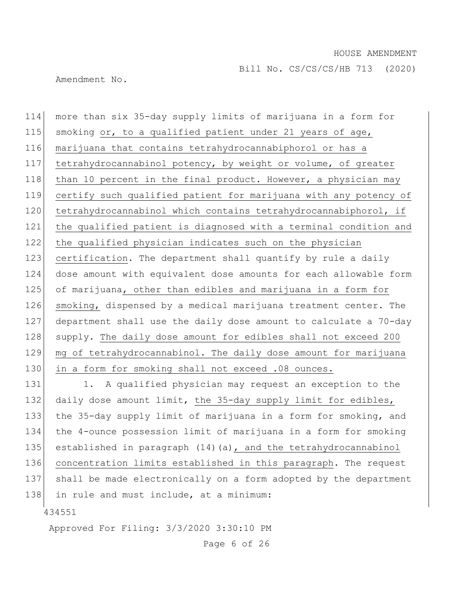Amendment No.

114 more than six 35-day supply limits of marijuana in a form for 115 smoking or, to a qualified patient under 21 years of age, 116 marijuana that contains tetrahydrocannabiphorol or has a 117 tetrahydrocannabinol potency, by weight or volume, of greater 118 than 10 percent in the final product. However, a physician may 119 certify such qualified patient for marijuana with any potency of 120 tetrahydrocannabinol which contains tetrahydrocannabiphorol, if 121 the qualified patient is diagnosed with a terminal condition and 122 the qualified physician indicates such on the physician 123 certification. The department shall quantify by rule a daily 124 dose amount with equivalent dose amounts for each allowable form 125 of marijuana, other than edibles and marijuana in a form for 126 smoking, dispensed by a medical marijuana treatment center. The 127 department shall use the daily dose amount to calculate a 70-day 128 supply. The daily dose amount for edibles shall not exceed 200 129 mg of tetrahydrocannabinol. The daily dose amount for marijuana 130 in a form for smoking shall not exceed .08 ounces.

131 1. A qualified physician may request an exception to the 132 daily dose amount limit, the 35-day supply limit for edibles, 133 the 35-day supply limit of marijuana in a form for smoking, and 134 the 4-ounce possession limit of marijuana in a form for smoking 135 established in paragraph (14) (a), and the tetrahydrocannabinol 136 concentration limits established in this paragraph. The request 137 shall be made electronically on a form adopted by the department 138 in rule and must include, at a minimum:

434551

Approved For Filing: 3/3/2020 3:30:10 PM

Page 6 of 26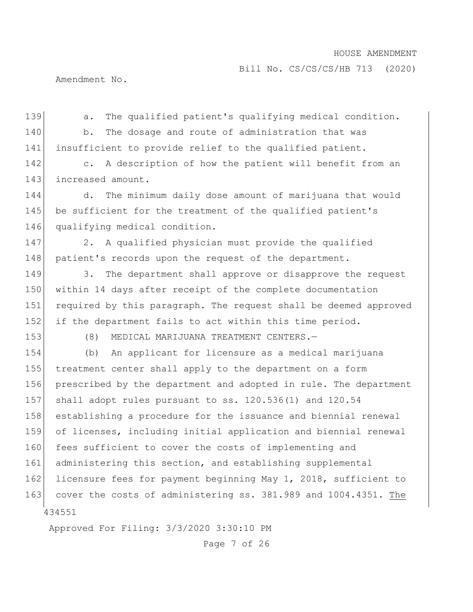Bill No. CS/CS/CS/HB 713 (2020)

Amendment No.

139 a. The qualified patient's qualifying medical condition. 140 b. The dosage and route of administration that was 141 insufficient to provide relief to the qualified patient. 142 c. A description of how the patient will benefit from an

143 increased amount.

144 d. The minimum daily dose amount of marijuana that would 145 be sufficient for the treatment of the qualified patient's 146 qualifying medical condition.

147 2. A qualified physician must provide the qualified 148 patient's records upon the request of the department.

149 3. The department shall approve or disapprove the request 150 within 14 days after receipt of the complete documentation 151 required by this paragraph. The request shall be deemed approved 152 if the department fails to act within this time period.

153 (8) MEDICAL MARIJUANA TREATMENT CENTERS.—

434551 154 (b) An applicant for licensure as a medical marijuana 155 treatment center shall apply to the department on a form 156 prescribed by the department and adopted in rule. The department 157 shall adopt rules pursuant to ss. 120.536(1) and 120.54 158 establishing a procedure for the issuance and biennial renewal 159 of licenses, including initial application and biennial renewal 160 fees sufficient to cover the costs of implementing and 161 administering this section, and establishing supplemental 162 licensure fees for payment beginning May 1, 2018, sufficient to 163 cover the costs of administering ss. 381.989 and 1004.4351. The

Approved For Filing: 3/3/2020 3:30:10 PM

Page 7 of 26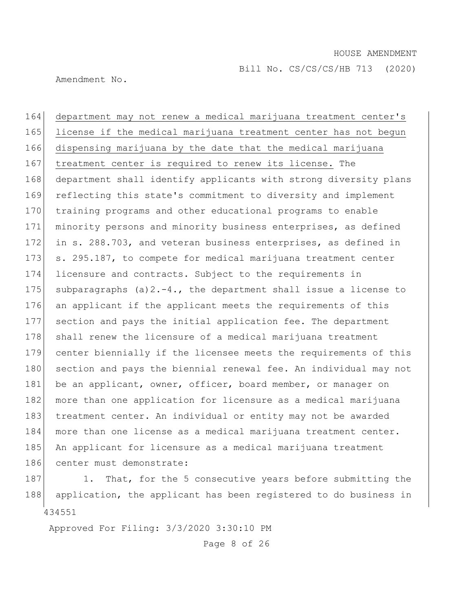Amendment No.

164 department may not renew a medical marijuana treatment center's 165 license if the medical marijuana treatment center has not begun 166 dispensing marijuana by the date that the medical marijuana 167 treatment center is required to renew its license. The 168 department shall identify applicants with strong diversity plans 169 reflecting this state's commitment to diversity and implement 170 training programs and other educational programs to enable 171 minority persons and minority business enterprises, as defined 172 in s. 288.703, and veteran business enterprises, as defined in 173 s. 295.187, to compete for medical marijuana treatment center 174 licensure and contracts. Subject to the requirements in 175 subparagraphs (a)  $2.-4.$ , the department shall issue a license to 176 an applicant if the applicant meets the requirements of this 177 section and pays the initial application fee. The department 178 shall renew the licensure of a medical marijuana treatment 179 center biennially if the licensee meets the requirements of this 180 section and pays the biennial renewal fee. An individual may not 181 be an applicant, owner, officer, board member, or manager on 182 more than one application for licensure as a medical marijuana 183 treatment center. An individual or entity may not be awarded 184 more than one license as a medical marijuana treatment center. 185 An applicant for licensure as a medical marijuana treatment 186 center must demonstrate:

434551 187 1. That, for the 5 consecutive years before submitting the 188 application, the applicant has been registered to do business in

Approved For Filing: 3/3/2020 3:30:10 PM

Page 8 of 26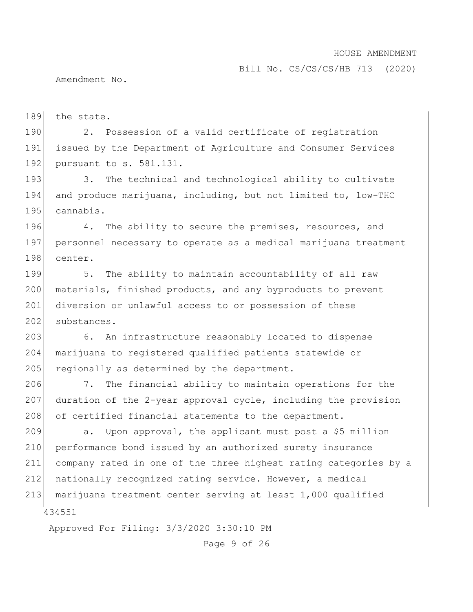Bill No. CS/CS/CS/HB 713 (2020)

Amendment No.

189 the state.

190 2. Possession of a valid certificate of registration 191 issued by the Department of Agriculture and Consumer Services 192 pursuant to s. 581.131.

193 3. The technical and technological ability to cultivate 194 and produce marijuana, including, but not limited to, low-THC 195 cannabis.

196 4. The ability to secure the premises, resources, and 197 personnel necessary to operate as a medical marijuana treatment 198 center.

199 5. The ability to maintain accountability of all raw 200 materials, finished products, and any byproducts to prevent 201 diversion or unlawful access to or possession of these 202 substances.

203 6. An infrastructure reasonably located to dispense 204 marijuana to registered qualified patients statewide or 205 regionally as determined by the department.

206 7. The financial ability to maintain operations for the 207 duration of the 2-year approval cycle, including the provision 208 of certified financial statements to the department.

 $209$  a. Upon approval, the applicant must post a \$5 million 210 performance bond issued by an authorized surety insurance 211 company rated in one of the three highest rating categories by a 212 nationally recognized rating service. However, a medical 213 marijuana treatment center serving at least 1,000 qualified

434551

Approved For Filing: 3/3/2020 3:30:10 PM

Page 9 of 26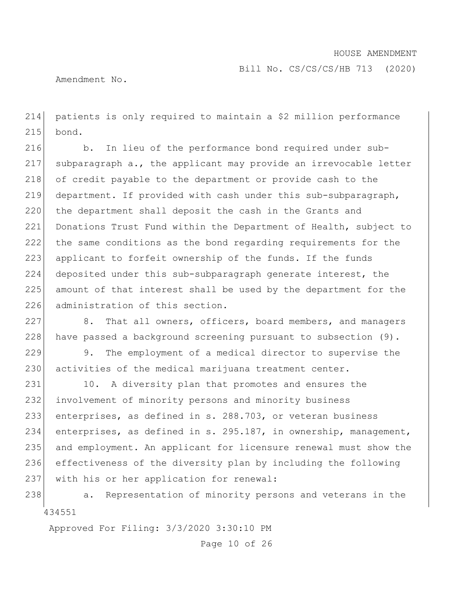Amendment No.

214 patients is only required to maintain a \$2 million performance 215 bond.

216 b. In lieu of the performance bond required under sub-217 subparagraph a., the applicant may provide an irrevocable letter 218 of credit payable to the department or provide cash to the 219 department. If provided with cash under this sub-subparagraph, 220 the department shall deposit the cash in the Grants and 221 Donations Trust Fund within the Department of Health, subject to 222 the same conditions as the bond regarding requirements for the 223 applicant to forfeit ownership of the funds. If the funds 224 deposited under this sub-subparagraph generate interest, the 225 amount of that interest shall be used by the department for the 226 administration of this section.

227 8. That all owners, officers, board members, and managers 228 have passed a background screening pursuant to subsection  $(9)$ .

229 9. The employment of a medical director to supervise the 230 activities of the medical marijuana treatment center.

231 10. A diversity plan that promotes and ensures the 232 involvement of minority persons and minority business 233 enterprises, as defined in s. 288.703, or veteran business 234 enterprises, as defined in s. 295.187, in ownership, management, 235 and employment. An applicant for licensure renewal must show the 236 effectiveness of the diversity plan by including the following 237 with his or her application for renewal:

434551 238 a. Representation of minority persons and veterans in the

Approved For Filing: 3/3/2020 3:30:10 PM

Page 10 of 26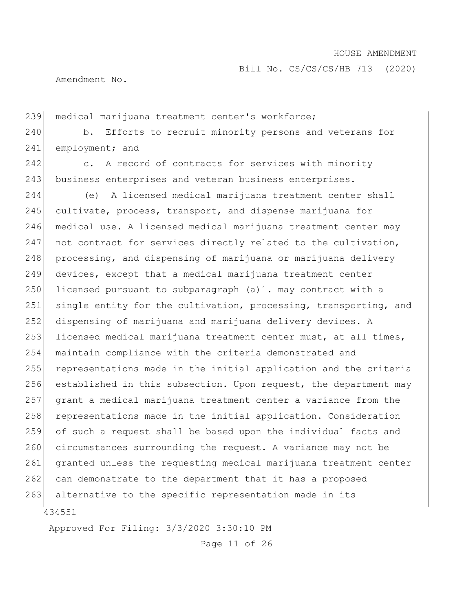Bill No. CS/CS/CS/HB 713 (2020)

Amendment No.

239 medical marijuana treatment center's workforce;

240 b. Efforts to recruit minority persons and veterans for 241 employment; and

242 c. A record of contracts for services with minority 243 business enterprises and veteran business enterprises.

434551 244 (e) A licensed medical marijuana treatment center shall 245 cultivate, process, transport, and dispense marijuana for 246 medical use. A licensed medical marijuana treatment center may 247 not contract for services directly related to the cultivation, 248 processing, and dispensing of marijuana or marijuana delivery 249 devices, except that a medical marijuana treatment center  $250$  licensed pursuant to subparagraph (a)1. may contract with a 251 single entity for the cultivation, processing, transporting, and 252 dispensing of marijuana and marijuana delivery devices. A 253 licensed medical marijuana treatment center must, at all times, 254 maintain compliance with the criteria demonstrated and 255 representations made in the initial application and the criteria 256 established in this subsection. Upon request, the department may 257 grant a medical marijuana treatment center a variance from the 258 representations made in the initial application. Consideration 259 of such a request shall be based upon the individual facts and 260 circumstances surrounding the request. A variance may not be 261 granted unless the requesting medical marijuana treatment center 262 can demonstrate to the department that it has a proposed 263 alternative to the specific representation made in its

Approved For Filing: 3/3/2020 3:30:10 PM

Page 11 of 26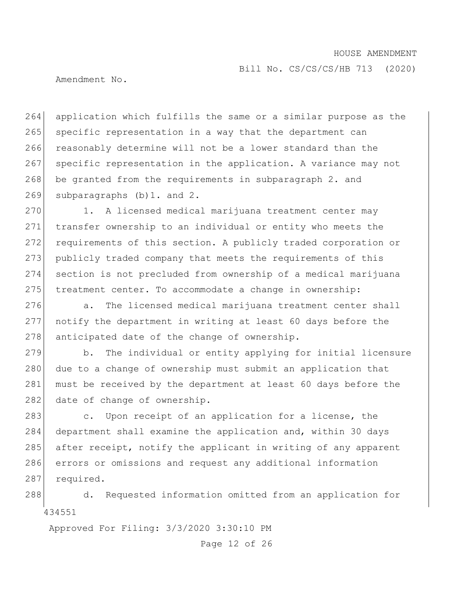Bill No. CS/CS/CS/HB 713 (2020)

Amendment No.

264 application which fulfills the same or a similar purpose as the 265 specific representation in a way that the department can 266 reasonably determine will not be a lower standard than the 267 specific representation in the application. A variance may not 268 be granted from the requirements in subparagraph 2. and 269 subparagraphs (b) 1. and 2.

270 1. A licensed medical marijuana treatment center may 271 transfer ownership to an individual or entity who meets the 272 requirements of this section. A publicly traded corporation or 273 publicly traded company that meets the requirements of this 274 section is not precluded from ownership of a medical marijuana 275 treatment center. To accommodate a change in ownership:

276 a. The licensed medical marijuana treatment center shall 277 notify the department in writing at least 60 days before the  $278$  anticipated date of the change of ownership.

279 b. The individual or entity applying for initial licensure 280 due to a change of ownership must submit an application that 281 must be received by the department at least 60 days before the 282 date of change of ownership.

283 c. Upon receipt of an application for a license, the 284 department shall examine the application and, within 30 days 285 after receipt, notify the applicant in writing of any apparent 286 errors or omissions and request any additional information 287 required.

434551 288 d. Requested information omitted from an application for

Approved For Filing: 3/3/2020 3:30:10 PM

Page 12 of 26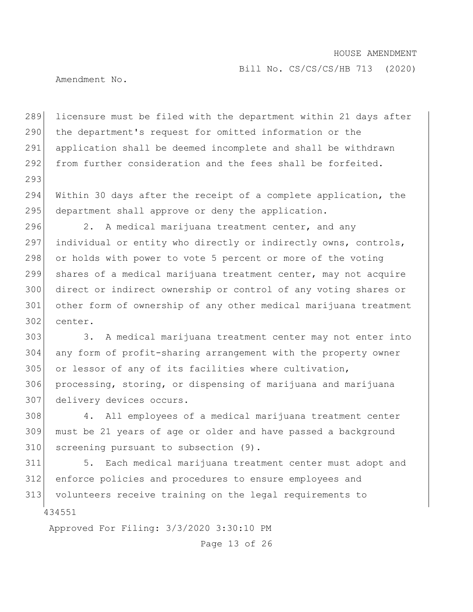Bill No. CS/CS/CS/HB 713 (2020)

Amendment No.

293

 licensure must be filed with the department within 21 days after 290 the department's request for omitted information or the application shall be deemed incomplete and shall be withdrawn from further consideration and the fees shall be forfeited.

294 Within 30 days after the receipt of a complete application, the 295 department shall approve or deny the application.

296 2. A medical marijuana treatment center, and any 297 individual or entity who directly or indirectly owns, controls, 298 or holds with power to vote 5 percent or more of the voting 299 shares of a medical marijuana treatment center, may not acquire 300 direct or indirect ownership or control of any voting shares or 301 other form of ownership of any other medical marijuana treatment 302 center.

303 3. A medical marijuana treatment center may not enter into 304 any form of profit-sharing arrangement with the property owner 305 or lessor of any of its facilities where cultivation, 306 processing, storing, or dispensing of marijuana and marijuana 307 delivery devices occurs.

308 4. All employees of a medical marijuana treatment center 309 must be 21 years of age or older and have passed a background 310 screening pursuant to subsection (9).

434551 5. Each medical marijuana treatment center must adopt and enforce policies and procedures to ensure employees and volunteers receive training on the legal requirements to

Approved For Filing: 3/3/2020 3:30:10 PM

Page 13 of 26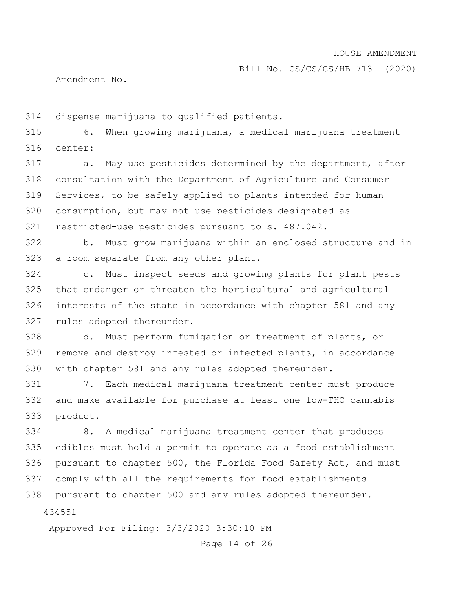Amendment No.

dispense marijuana to qualified patients.

 6. When growing marijuana, a medical marijuana treatment center:

317 a. May use pesticides determined by the department, after consultation with the Department of Agriculture and Consumer Services, to be safely applied to plants intended for human consumption, but may not use pesticides designated as restricted-use pesticides pursuant to s. 487.042.

 b. Must grow marijuana within an enclosed structure and in 323 a room separate from any other plant.

 c. Must inspect seeds and growing plants for plant pests that endanger or threaten the horticultural and agricultural interests of the state in accordance with chapter 581 and any 327 rules adopted thereunder.

 d. Must perform fumigation or treatment of plants, or 329 remove and destroy infested or infected plants, in accordance with chapter 581 and any rules adopted thereunder.

 7. Each medical marijuana treatment center must produce and make available for purchase at least one low-THC cannabis product.

 8. A medical marijuana treatment center that produces edibles must hold a permit to operate as a food establishment pursuant to chapter 500, the Florida Food Safety Act, and must comply with all the requirements for food establishments 338 pursuant to chapter 500 and any rules adopted thereunder.

Approved For Filing: 3/3/2020 3:30:10 PM

Page 14 of 26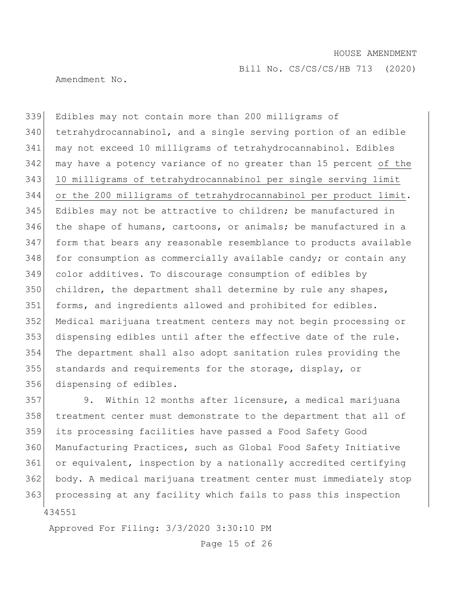Bill No. CS/CS/CS/HB 713 (2020)

Amendment No.

 Edibles may not contain more than 200 milligrams of tetrahydrocannabinol, and a single serving portion of an edible may not exceed 10 milligrams of tetrahydrocannabinol. Edibles may have a potency variance of no greater than 15 percent of the 10 milligrams of tetrahydrocannabinol per single serving limit or the 200 milligrams of tetrahydrocannabinol per product limit. Edibles may not be attractive to children; be manufactured in 346 the shape of humans, cartoons, or animals; be manufactured in a form that bears any reasonable resemblance to products available for consumption as commercially available candy; or contain any color additives. To discourage consumption of edibles by children, the department shall determine by rule any shapes, 351 forms, and ingredients allowed and prohibited for edibles. Medical marijuana treatment centers may not begin processing or dispensing edibles until after the effective date of the rule. The department shall also adopt sanitation rules providing the 355 standards and requirements for the storage, display, or dispensing of edibles.

 9. Within 12 months after licensure, a medical marijuana treatment center must demonstrate to the department that all of its processing facilities have passed a Food Safety Good Manufacturing Practices, such as Global Food Safety Initiative or equivalent, inspection by a nationally accredited certifying body. A medical marijuana treatment center must immediately stop 363 processing at any facility which fails to pass this inspection

Approved For Filing: 3/3/2020 3:30:10 PM

Page 15 of 26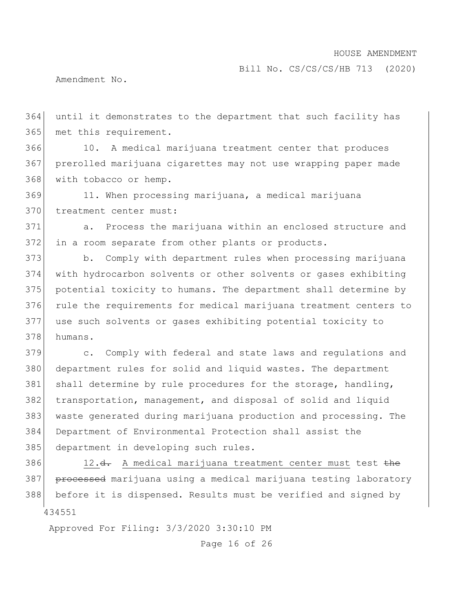Amendment No.

 until it demonstrates to the department that such facility has 365 met this requirement.

 10. A medical marijuana treatment center that produces prerolled marijuana cigarettes may not use wrapping paper made with tobacco or hemp.

 11. When processing marijuana, a medical marijuana 370 treatment center must:

 a. Process the marijuana within an enclosed structure and in a room separate from other plants or products.

 b. Comply with department rules when processing marijuana with hydrocarbon solvents or other solvents or gases exhibiting potential toxicity to humans. The department shall determine by rule the requirements for medical marijuana treatment centers to use such solvents or gases exhibiting potential toxicity to humans.

 c. Comply with federal and state laws and regulations and department rules for solid and liquid wastes. The department 381 shall determine by rule procedures for the storage, handling, transportation, management, and disposal of solid and liquid waste generated during marijuana production and processing. The Department of Environmental Protection shall assist the 385 department in developing such rules.

 386 12. $d$ . A medical marijuana treatment center must test  $the$ 387 processed marijuana using a medical marijuana testing laboratory before it is dispensed. Results must be verified and signed by

Approved For Filing: 3/3/2020 3:30:10 PM

Page 16 of 26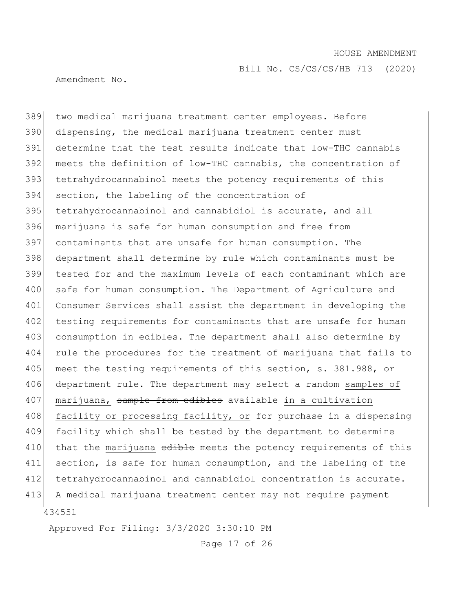Bill No. CS/CS/CS/HB 713 (2020)

Amendment No.

434551 389 two medical marijuana treatment center employees. Before 390 dispensing, the medical marijuana treatment center must 391 determine that the test results indicate that low-THC cannabis 392 meets the definition of low-THC cannabis, the concentration of 393 tetrahydrocannabinol meets the potency requirements of this 394 section, the labeling of the concentration of 395 tetrahydrocannabinol and cannabidiol is accurate, and all 396 marijuana is safe for human consumption and free from 397 contaminants that are unsafe for human consumption. The 398 department shall determine by rule which contaminants must be 399 tested for and the maximum levels of each contaminant which are 400 safe for human consumption. The Department of Agriculture and 401 Consumer Services shall assist the department in developing the 402 testing requirements for contaminants that are unsafe for human 403 consumption in edibles. The department shall also determine by 404 rule the procedures for the treatment of marijuana that fails to 405 meet the testing requirements of this section, s. 381.988, or 406 department rule. The department may select  $a$  random samples of 407 marijuana, sample from edibles available in a cultivation 408 facility or processing facility, or for purchase in a dispensing 409 facility which shall be tested by the department to determine 410 that the marijuana edible meets the potency requirements of this 411 section, is safe for human consumption, and the labeling of the 412 tetrahydrocannabinol and cannabidiol concentration is accurate. 413 A medical marijuana treatment center may not require payment

Approved For Filing: 3/3/2020 3:30:10 PM

Page 17 of 26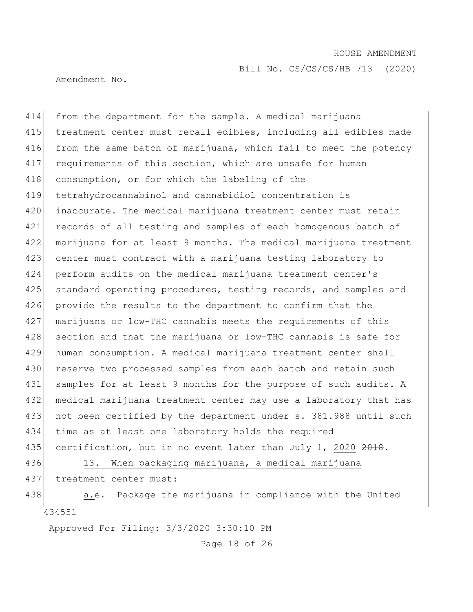Bill No. CS/CS/CS/HB 713 (2020)

Amendment No.

414 from the department for the sample. A medical marijuana 415 treatment center must recall edibles, including all edibles made 416 from the same batch of marijuana, which fail to meet the potency 417 requirements of this section, which are unsafe for human 418 consumption, or for which the labeling of the 419 tetrahydrocannabinol and cannabidiol concentration is 420 inaccurate. The medical marijuana treatment center must retain 421 records of all testing and samples of each homogenous batch of 422 marijuana for at least 9 months. The medical marijuana treatment 423 center must contract with a marijuana testing laboratory to 424 perform audits on the medical marijuana treatment center's 425 | standard operating procedures, testing records, and samples and 426 provide the results to the department to confirm that the 427 marijuana or low-THC cannabis meets the requirements of this 428 section and that the marijuana or low-THC cannabis is safe for 429 human consumption. A medical marijuana treatment center shall 430 reserve two processed samples from each batch and retain such 431 samples for at least 9 months for the purpose of such audits. A 432 medical marijuana treatment center may use a laboratory that has 433 not been certified by the department under s. 381.988 until such 434 time as at least one laboratory holds the required 435 certification, but in no event later than July 1, 2020 2018. 436 13. When packaging marijuana, a medical marijuana 437 treatment center must:

434551 438 a.e. Package the marijuana in compliance with the United

Approved For Filing: 3/3/2020 3:30:10 PM

Page 18 of 26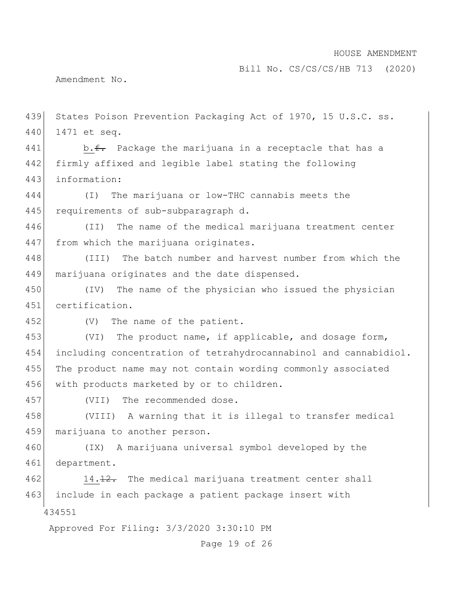Bill No. CS/CS/CS/HB 713 (2020)

Amendment No.

434551 Approved For Filing: 3/3/2020 3:30:10 PM Page 19 of 26 439 States Poison Prevention Packaging Act of 1970, 15 U.S.C. ss. 440 1471 et seq. 441 b.f. Package the marijuana in a receptacle that has a 442 firmly affixed and legible label stating the following 443 information: 444 (I) The marijuana or low-THC cannabis meets the 445 requirements of sub-subparagraph d. 446 (II) The name of the medical marijuana treatment center 447 from which the marijuana originates. 448 (III) The batch number and harvest number from which the 449 marijuana originates and the date dispensed. 450 (IV) The name of the physician who issued the physician 451 certification. 452 (V) The name of the patient. 453 (VI) The product name, if applicable, and dosage form, 454 including concentration of tetrahydrocannabinol and cannabidiol. 455 The product name may not contain wording commonly associated 456 with products marketed by or to children. 457 (VII) The recommended dose. 458 (VIII) A warning that it is illegal to transfer medical 459 marijuana to another person. 460 (IX) A marijuana universal symbol developed by the 461 department. 462 14.12. The medical marijuana treatment center shall 463 include in each package a patient package insert with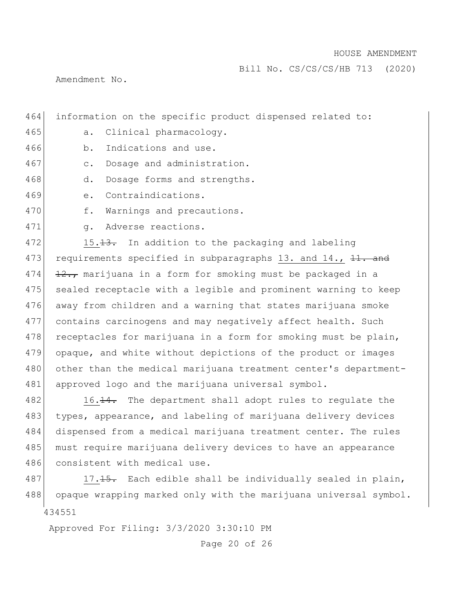Bill No. CS/CS/CS/HB 713 (2020)

Amendment No.

465 a. Clinical pharmacology. 466 b. Indications and use. 467 c. Dosage and administration. 468 d. Dosage forms and strengths. 469 e. Contraindications. 470 f. Warnings and precautions. 471 g. Adverse reactions. 472 15.13. In addition to the packaging and labeling 473 requirements specified in subparagraphs 13. and  $14.$ ,  $11.$  and 474  $\left| \frac{12}{12 \cdot r} \right|$  marijuana in a form for smoking must be packaged in a 475 sealed receptacle with a legible and prominent warning to keep

464 information on the specific product dispensed related to:

478 receptacles for marijuana in a form for smoking must be plain, 479 opaque, and white without depictions of the product or images 480 other than the medical marijuana treatment center's department-481 approved logo and the marijuana universal symbol. 482 16.14. The department shall adopt rules to regulate the

476 away from children and a warning that states marijuana smoke

477 contains carcinogens and may negatively affect health. Such

483 types, appearance, and labeling of marijuana delivery devices 484 dispensed from a medical marijuana treatment center. The rules 485 must require marijuana delivery devices to have an appearance 486 consistent with medical use.

434551 487 17.15. Each edible shall be individually sealed in plain, 488 opaque wrapping marked only with the marijuana universal symbol.

Approved For Filing: 3/3/2020 3:30:10 PM

Page 20 of 26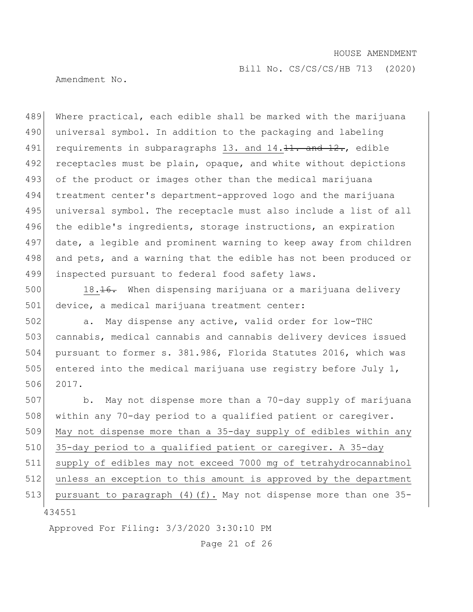Bill No. CS/CS/CS/HB 713 (2020)

Amendment No.

489 Where practical, each edible shall be marked with the marijuana 490 universal symbol. In addition to the packaging and labeling 491 requirements in subparagraphs 13. and  $14.11.$  and  $12.$ , edible 492 receptacles must be plain, opaque, and white without depictions 493 of the product or images other than the medical marijuana 494 treatment center's department-approved logo and the marijuana 495 universal symbol. The receptacle must also include a list of all 496 the edible's ingredients, storage instructions, an expiration 497 date, a legible and prominent warning to keep away from children 498 and pets, and a warning that the edible has not been produced or 499 inspected pursuant to federal food safety laws.

500 18.16. When dispensing marijuana or a marijuana delivery 501 device, a medical marijuana treatment center:

502 a. May dispense any active, valid order for low-THC 503 cannabis, medical cannabis and cannabis delivery devices issued 504 pursuant to former s. 381.986, Florida Statutes 2016, which was 505 entered into the medical marijuana use registry before July 1, 506 2017.

434551 507 b. May not dispense more than a 70-day supply of marijuana 508 within any 70-day period to a qualified patient or caregiver. 509 May not dispense more than a 35-day supply of edibles within any 510 35-day period to a qualified patient or caregiver. A 35-day 511 supply of edibles may not exceed 7000 mg of tetrahydrocannabinol 512 unless an exception to this amount is approved by the department 513 pursuant to paragraph (4)(f). May not dispense more than one 35-

Approved For Filing: 3/3/2020 3:30:10 PM

Page 21 of 26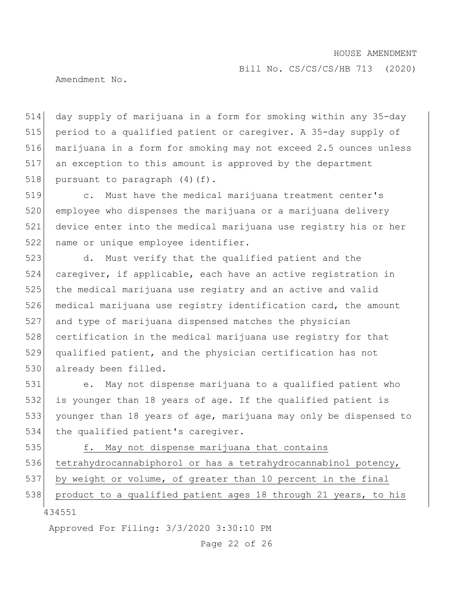Bill No. CS/CS/CS/HB 713 (2020)

Amendment No.

 day supply of marijuana in a form for smoking within any 35-day period to a qualified patient or caregiver. A 35-day supply of marijuana in a form for smoking may not exceed 2.5 ounces unless an exception to this amount is approved by the department 518 pursuant to paragraph  $(4)(f)$ .

 c. Must have the medical marijuana treatment center's employee who dispenses the marijuana or a marijuana delivery device enter into the medical marijuana use registry his or her 522 name or unique employee identifier.

523 d. Must verify that the qualified patient and the 524 caregiver, if applicable, each have an active registration in 525 the medical marijuana use registry and an active and valid 526 medical marijuana use registry identification card, the amount 527 and type of marijuana dispensed matches the physician 528 certification in the medical marijuana use registry for that 529 qualified patient, and the physician certification has not 530 already been filled.

531 e. May not dispense marijuana to a qualified patient who 532 is younger than 18 years of age. If the qualified patient is 533 younger than 18 years of age, marijuana may only be dispensed to 534 the qualified patient's caregiver.

535 f. May not dispense marijuana that contains

536 tetrahydrocannabiphorol or has a tetrahydrocannabinol potency,

537 by weight or volume, of greater than 10 percent in the final

434551 538 product to a qualified patient ages 18 through 21 years, to his

Approved For Filing: 3/3/2020 3:30:10 PM

Page 22 of 26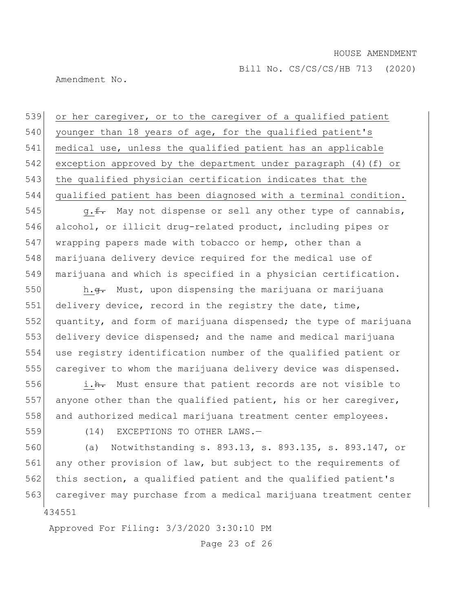Amendment No.

 or her caregiver, or to the caregiver of a qualified patient 540 younger than 18 years of age, for the qualified patient's medical use, unless the qualified patient has an applicable exception approved by the department under paragraph (4)(f) or 543 the qualified physician certification indicates that the qualified patient has been diagnosed with a terminal condition.

545 g.f. May not dispense or sell any other type of cannabis, 546 alcohol, or illicit drug-related product, including pipes or 547 wrapping papers made with tobacco or hemp, other than a 548 marijuana delivery device required for the medical use of 549 marijuana and which is specified in a physician certification.

550 h.<del>g.</del> Must, upon dispensing the marijuana or marijuana 551 delivery device, record in the registry the date, time, quantity, and form of marijuana dispensed; the type of marijuana delivery device dispensed; and the name and medical marijuana use registry identification number of the qualified patient or caregiver to whom the marijuana delivery device was dispensed.

556 i.h. Must ensure that patient records are not visible to 557 anyone other than the qualified patient, his or her caregiver, 558 and authorized medical marijuana treatment center employees.

559 (14) EXCEPTIONS TO OTHER LAWS.—

434551 560 (a) Notwithstanding s. 893.13, s. 893.135, s. 893.147, or 561 any other provision of law, but subject to the requirements of 562 this section, a qualified patient and the qualified patient's 563 caregiver may purchase from a medical marijuana treatment center

Approved For Filing: 3/3/2020 3:30:10 PM

Page 23 of 26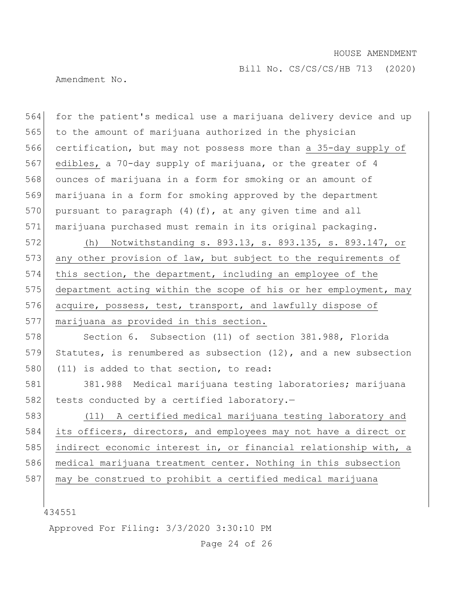Bill No. CS/CS/CS/HB 713 (2020)

Amendment No.

564 for the patient's medical use a marijuana delivery device and up 565 to the amount of marijuana authorized in the physician 566 certification, but may not possess more than a 35-day supply of 567 edibles, a 70-day supply of marijuana, or the greater of 4 568 ounces of marijuana in a form for smoking or an amount of 569 marijuana in a form for smoking approved by the department 570 pursuant to paragraph  $(4)$  (f), at any given time and all 571 marijuana purchased must remain in its original packaging. 572 (h) Notwithstanding s. 893.13, s. 893.135, s. 893.147, or 573 any other provision of law, but subject to the requirements of 574 this section, the department, including an employee of the 575 department acting within the scope of his or her employment, may 576 acquire, possess, test, transport, and lawfully dispose of 577 marijuana as provided in this section. 578 Section 6. Subsection (11) of section 381.988, Florida 579 Statutes, is renumbered as subsection (12), and a new subsection 580 (11) is added to that section, to read: 581 381.988 Medical marijuana testing laboratories; marijuana 582 tests conducted by a certified laboratory.-583 (11) A certified medical marijuana testing laboratory and 584 its officers, directors, and employees may not have a direct or 585 indirect economic interest in, or financial relationship with, a 586 medical marijuana treatment center. Nothing in this subsection 587 may be construed to prohibit a certified medical marijuana

434551

Approved For Filing: 3/3/2020 3:30:10 PM

Page 24 of 26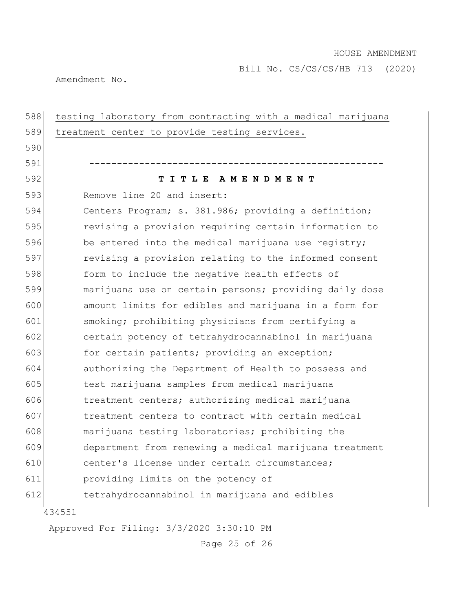Amendment No.

| 588 | testing laboratory from contracting with a medical marijuana |
|-----|--------------------------------------------------------------|
| 589 | treatment center to provide testing services.                |
| 590 |                                                              |
| 591 |                                                              |
| 592 | TITLE AMENDMENT                                              |
| 593 | Remove line 20 and insert:                                   |
| 594 | Centers Program; s. 381.986; providing a definition;         |
| 595 | revising a provision requiring certain information to        |
| 596 | be entered into the medical marijuana use registry;          |
| 597 | revising a provision relating to the informed consent        |
| 598 | form to include the negative health effects of               |
| 599 | marijuana use on certain persons; providing daily dose       |
| 600 | amount limits for edibles and marijuana in a form for        |
| 601 | smoking; prohibiting physicians from certifying a            |
| 602 | certain potency of tetrahydrocannabinol in marijuana         |
| 603 | for certain patients; providing an exception;                |
| 604 | authorizing the Department of Health to possess and          |
| 605 | test marijuana samples from medical marijuana                |
| 606 | treatment centers; authorizing medical marijuana             |
| 607 | treatment centers to contract with certain medical           |
| 608 | marijuana testing laboratories; prohibiting the              |
| 609 | department from renewing a medical marijuana treatment       |
| 610 | center's license under certain circumstances;                |
| 611 | providing limits on the potency of                           |
| 612 | tetrahydrocannabinol in marijuana and edibles                |
|     | 434551                                                       |
|     | Approved For Filing: 3/3/2020 3:30:10 PM                     |

Page 25 of 26